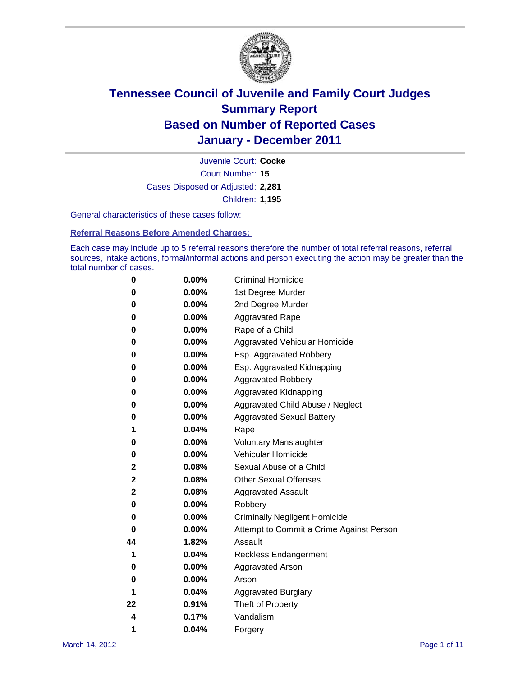

Court Number: **15** Juvenile Court: **Cocke** Cases Disposed or Adjusted: **2,281** Children: **1,195**

General characteristics of these cases follow:

**Referral Reasons Before Amended Charges:** 

Each case may include up to 5 referral reasons therefore the number of total referral reasons, referral sources, intake actions, formal/informal actions and person executing the action may be greater than the total number of cases.

| 0  | 0.00%    | <b>Criminal Homicide</b>                 |
|----|----------|------------------------------------------|
| 0  | 0.00%    | 1st Degree Murder                        |
| 0  | 0.00%    | 2nd Degree Murder                        |
| 0  | 0.00%    | <b>Aggravated Rape</b>                   |
| 0  | 0.00%    | Rape of a Child                          |
| 0  | 0.00%    | Aggravated Vehicular Homicide            |
| 0  | 0.00%    | Esp. Aggravated Robbery                  |
| 0  | 0.00%    | Esp. Aggravated Kidnapping               |
| 0  | 0.00%    | <b>Aggravated Robbery</b>                |
| 0  | 0.00%    | Aggravated Kidnapping                    |
| 0  | 0.00%    | Aggravated Child Abuse / Neglect         |
| 0  | $0.00\%$ | <b>Aggravated Sexual Battery</b>         |
| 1  | 0.04%    | Rape                                     |
| 0  | $0.00\%$ | <b>Voluntary Manslaughter</b>            |
| 0  | 0.00%    | Vehicular Homicide                       |
| 2  | 0.08%    | Sexual Abuse of a Child                  |
| 2  | 0.08%    | <b>Other Sexual Offenses</b>             |
| 2  | 0.08%    | <b>Aggravated Assault</b>                |
| 0  | $0.00\%$ | Robbery                                  |
| 0  | 0.00%    | <b>Criminally Negligent Homicide</b>     |
| 0  | 0.00%    | Attempt to Commit a Crime Against Person |
| 44 | 1.82%    | Assault                                  |
| 1  | 0.04%    | <b>Reckless Endangerment</b>             |
| 0  | 0.00%    | <b>Aggravated Arson</b>                  |
| 0  | 0.00%    | Arson                                    |
| 1  | 0.04%    | <b>Aggravated Burglary</b>               |
| 22 | 0.91%    | Theft of Property                        |
| 4  | 0.17%    | Vandalism                                |
| 1  | 0.04%    | Forgery                                  |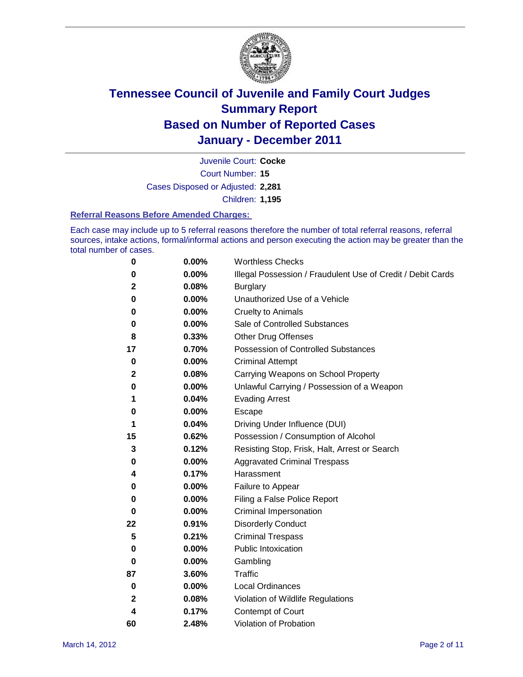

Court Number: **15** Juvenile Court: **Cocke** Cases Disposed or Adjusted: **2,281** Children: **1,195**

#### **Referral Reasons Before Amended Charges:**

Each case may include up to 5 referral reasons therefore the number of total referral reasons, referral sources, intake actions, formal/informal actions and person executing the action may be greater than the total number of cases.

| 0            | 0.00% | <b>Worthless Checks</b>                                     |
|--------------|-------|-------------------------------------------------------------|
| 0            | 0.00% | Illegal Possession / Fraudulent Use of Credit / Debit Cards |
| 2            | 0.08% | <b>Burglary</b>                                             |
| 0            | 0.00% | Unauthorized Use of a Vehicle                               |
| 0            | 0.00% | <b>Cruelty to Animals</b>                                   |
| 0            | 0.00% | Sale of Controlled Substances                               |
| 8            | 0.33% | <b>Other Drug Offenses</b>                                  |
| 17           | 0.70% | Possession of Controlled Substances                         |
| 0            | 0.00% | <b>Criminal Attempt</b>                                     |
| $\mathbf{2}$ | 0.08% | Carrying Weapons on School Property                         |
| 0            | 0.00% | Unlawful Carrying / Possession of a Weapon                  |
| 1            | 0.04% | <b>Evading Arrest</b>                                       |
| 0            | 0.00% | Escape                                                      |
| 1            | 0.04% | Driving Under Influence (DUI)                               |
| 15           | 0.62% | Possession / Consumption of Alcohol                         |
| 3            | 0.12% | Resisting Stop, Frisk, Halt, Arrest or Search               |
| 0            | 0.00% | <b>Aggravated Criminal Trespass</b>                         |
| 4            | 0.17% | Harassment                                                  |
| 0            | 0.00% | Failure to Appear                                           |
| 0            | 0.00% | Filing a False Police Report                                |
| 0            | 0.00% | Criminal Impersonation                                      |
| 22           | 0.91% | <b>Disorderly Conduct</b>                                   |
| 5            | 0.21% | <b>Criminal Trespass</b>                                    |
| 0            | 0.00% | <b>Public Intoxication</b>                                  |
| 0            | 0.00% | Gambling                                                    |
| 87           | 3.60% | Traffic                                                     |
| 0            | 0.00% | <b>Local Ordinances</b>                                     |
| 2            | 0.08% | Violation of Wildlife Regulations                           |
| 4            | 0.17% | Contempt of Court                                           |
| 60           | 2.48% | Violation of Probation                                      |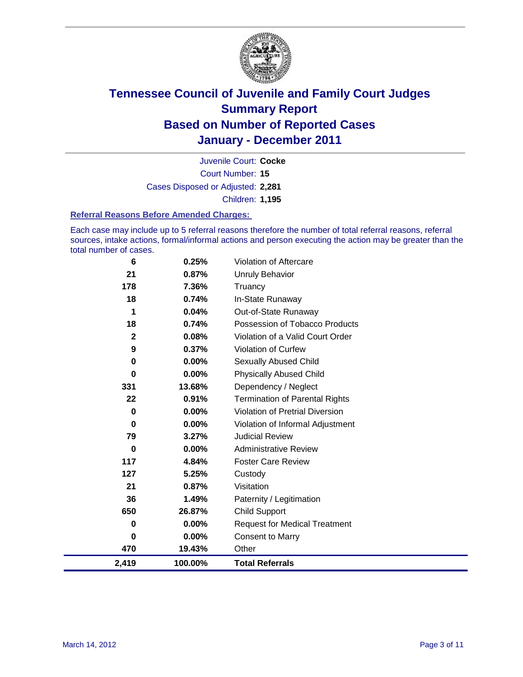

Court Number: **15** Juvenile Court: **Cocke** Cases Disposed or Adjusted: **2,281** Children: **1,195**

#### **Referral Reasons Before Amended Charges:**

Each case may include up to 5 referral reasons therefore the number of total referral reasons, referral sources, intake actions, formal/informal actions and person executing the action may be greater than the total number of cases.

| 6           | 0.25%    | Violation of Aftercare                 |
|-------------|----------|----------------------------------------|
| 21          | 0.87%    | <b>Unruly Behavior</b>                 |
| 178         | 7.36%    | Truancy                                |
| 18          | 0.74%    | In-State Runaway                       |
| 1           | 0.04%    | Out-of-State Runaway                   |
| 18          | 0.74%    | Possession of Tobacco Products         |
| $\mathbf 2$ | 0.08%    | Violation of a Valid Court Order       |
| 9           | 0.37%    | Violation of Curfew                    |
| 0           | $0.00\%$ | Sexually Abused Child                  |
| $\mathbf 0$ | 0.00%    | <b>Physically Abused Child</b>         |
| 331         | 13.68%   | Dependency / Neglect                   |
| 22          | 0.91%    | <b>Termination of Parental Rights</b>  |
| 0           | 0.00%    | <b>Violation of Pretrial Diversion</b> |
| 0           | $0.00\%$ | Violation of Informal Adjustment       |
| 79          | 3.27%    | <b>Judicial Review</b>                 |
| 0           | $0.00\%$ | <b>Administrative Review</b>           |
| 117         | 4.84%    | <b>Foster Care Review</b>              |
| 127         | 5.25%    | Custody                                |
| 21          | 0.87%    | Visitation                             |
| 36          | 1.49%    | Paternity / Legitimation               |
| 650         | 26.87%   | <b>Child Support</b>                   |
| 0           | 0.00%    | <b>Request for Medical Treatment</b>   |
| 0           | $0.00\%$ | <b>Consent to Marry</b>                |
| 470         | 19.43%   | Other                                  |
| 2,419       | 100.00%  | <b>Total Referrals</b>                 |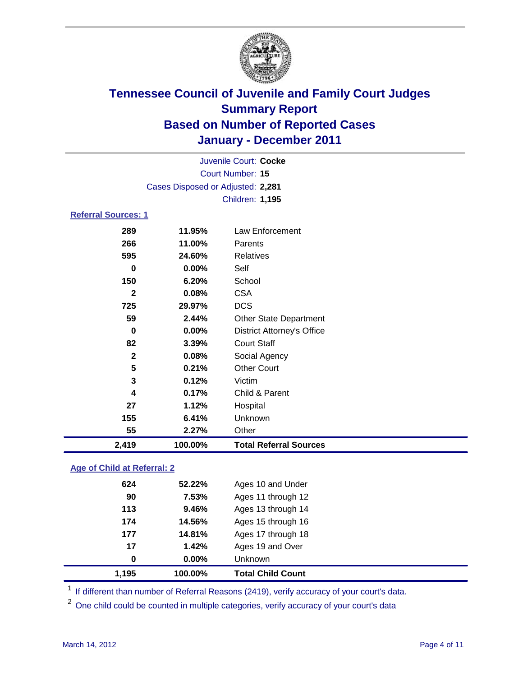

| 2,419                             | 100.00%  | <b>Total Referral Sources</b>     |  |  |
|-----------------------------------|----------|-----------------------------------|--|--|
| 55                                | 2.27%    | Other                             |  |  |
| 155                               | 6.41%    | Unknown                           |  |  |
| 27                                | 1.12%    | Hospital                          |  |  |
| 4                                 | 0.17%    | Child & Parent                    |  |  |
| 3                                 | 0.12%    | Victim                            |  |  |
| 5                                 | 0.21%    | <b>Other Court</b>                |  |  |
| $\mathbf{2}$                      | 0.08%    | Social Agency                     |  |  |
| 82                                | 3.39%    | <b>Court Staff</b>                |  |  |
| $\mathbf 0$                       | 0.00%    | <b>District Attorney's Office</b> |  |  |
| 59                                | 2.44%    | <b>Other State Department</b>     |  |  |
| 725                               | 29.97%   | <b>DCS</b>                        |  |  |
| $\mathbf{2}$                      | 0.08%    | <b>CSA</b>                        |  |  |
| 150                               | 6.20%    | School                            |  |  |
| 0                                 | $0.00\%$ | Self                              |  |  |
| 595                               | 24.60%   | <b>Relatives</b>                  |  |  |
| 266                               | 11.00%   | Parents                           |  |  |
| 289                               | 11.95%   | Law Enforcement                   |  |  |
| <b>Referral Sources: 1</b>        |          |                                   |  |  |
|                                   |          | Children: 1,195                   |  |  |
| Cases Disposed or Adjusted: 2,281 |          |                                   |  |  |
| Court Number: 15                  |          |                                   |  |  |
| Juvenile Court: Cocke             |          |                                   |  |  |
|                                   |          |                                   |  |  |

### **Age of Child at Referral: 2**

|     |        | <b>Total Child Count</b> |
|-----|--------|--------------------------|
| 0   | 0.00%  | Unknown                  |
| 17  | 1.42%  | Ages 19 and Over         |
| 177 | 14.81% | Ages 17 through 18       |
| 174 | 14.56% | Ages 15 through 16       |
| 113 | 9.46%  | Ages 13 through 14       |
| 90  | 7.53%  | Ages 11 through 12       |
| 624 | 52.22% | Ages 10 and Under        |
|     |        | 1,195<br>100.00%         |

<sup>1</sup> If different than number of Referral Reasons (2419), verify accuracy of your court's data.

<sup>2</sup> One child could be counted in multiple categories, verify accuracy of your court's data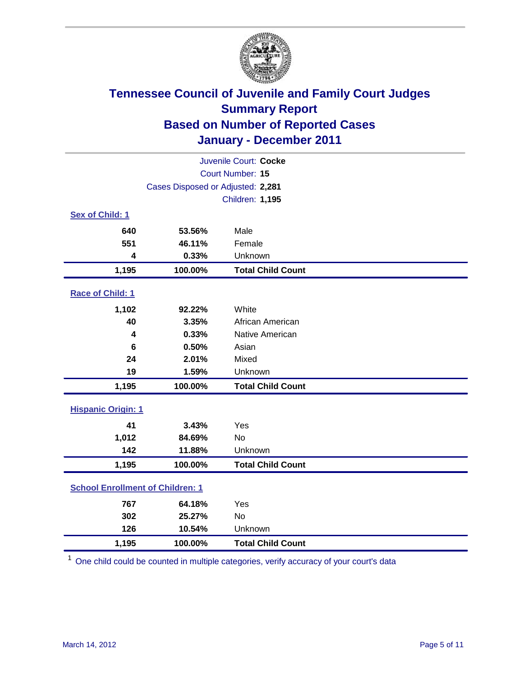

| Juvenile Court: Cocke                   |                                   |                          |  |  |
|-----------------------------------------|-----------------------------------|--------------------------|--|--|
| Court Number: 15                        |                                   |                          |  |  |
|                                         | Cases Disposed or Adjusted: 2,281 |                          |  |  |
|                                         |                                   | <b>Children: 1,195</b>   |  |  |
| Sex of Child: 1                         |                                   |                          |  |  |
| 640                                     | 53.56%                            | Male                     |  |  |
| 551                                     | 46.11%                            | Female                   |  |  |
| $\overline{\mathbf{4}}$                 | 0.33%                             | Unknown                  |  |  |
| 1,195                                   | 100.00%                           | <b>Total Child Count</b> |  |  |
| Race of Child: 1                        |                                   |                          |  |  |
| 1,102                                   | 92.22%                            | White                    |  |  |
| 40                                      | 3.35%                             | African American         |  |  |
| 4                                       | 0.33%                             | Native American          |  |  |
| 6                                       | 0.50%                             | Asian                    |  |  |
| 24                                      | 2.01%                             | Mixed                    |  |  |
| 19                                      | 1.59%                             | Unknown                  |  |  |
| 1,195                                   | 100.00%                           | <b>Total Child Count</b> |  |  |
| <b>Hispanic Origin: 1</b>               |                                   |                          |  |  |
| 41                                      | 3.43%                             | Yes                      |  |  |
| 1,012                                   | 84.69%                            | <b>No</b>                |  |  |
| 142                                     | 11.88%                            | Unknown                  |  |  |
| 1,195                                   | 100.00%                           | <b>Total Child Count</b> |  |  |
| <b>School Enrollment of Children: 1</b> |                                   |                          |  |  |
| 767                                     | 64.18%                            | Yes                      |  |  |
| 302                                     | 25.27%                            | <b>No</b>                |  |  |
| 126                                     | 10.54%                            | Unknown                  |  |  |
| 1,195                                   | 100.00%                           | <b>Total Child Count</b> |  |  |

<sup>1</sup> One child could be counted in multiple categories, verify accuracy of your court's data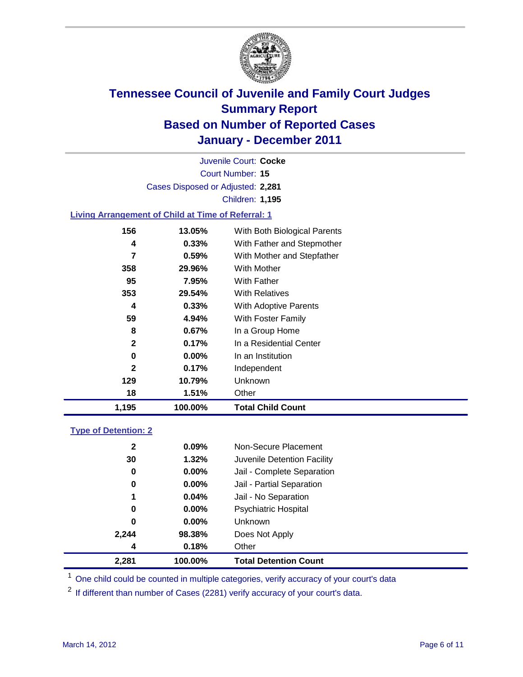

Court Number: **15** Juvenile Court: **Cocke** Cases Disposed or Adjusted: **2,281** Children: **1,195**

### **Living Arrangement of Child at Time of Referral: 1**

| 1,195        | 100.00%  | <b>Total Child Count</b>     |
|--------------|----------|------------------------------|
| 18           | 1.51%    | Other                        |
| 129          | 10.79%   | Unknown                      |
| $\mathbf{2}$ | 0.17%    | Independent                  |
| 0            | $0.00\%$ | In an Institution            |
| $\mathbf{2}$ | 0.17%    | In a Residential Center      |
| 8            | 0.67%    | In a Group Home              |
| 59           | 4.94%    | With Foster Family           |
| 4            | 0.33%    | <b>With Adoptive Parents</b> |
| 353          | 29.54%   | <b>With Relatives</b>        |
| 95           | 7.95%    | With Father                  |
| 358          | 29.96%   | With Mother                  |
| 7            | 0.59%    | With Mother and Stepfather   |
| 4            | 0.33%    | With Father and Stepmother   |
| 156          | 13.05%   | With Both Biological Parents |
|              |          |                              |

#### **Type of Detention: 2**

| 2,281        | 100.00%  | <b>Total Detention Count</b> |  |
|--------------|----------|------------------------------|--|
| 4            | 0.18%    | Other                        |  |
| 2,244        | 98.38%   | Does Not Apply               |  |
| 0            | $0.00\%$ | Unknown                      |  |
| 0            | $0.00\%$ | <b>Psychiatric Hospital</b>  |  |
| 1            | 0.04%    | Jail - No Separation         |  |
| 0            | $0.00\%$ | Jail - Partial Separation    |  |
| 0            | 0.00%    | Jail - Complete Separation   |  |
| 30           | 1.32%    | Juvenile Detention Facility  |  |
| $\mathbf{2}$ | $0.09\%$ | Non-Secure Placement         |  |
|              |          |                              |  |

<sup>1</sup> One child could be counted in multiple categories, verify accuracy of your court's data

<sup>2</sup> If different than number of Cases (2281) verify accuracy of your court's data.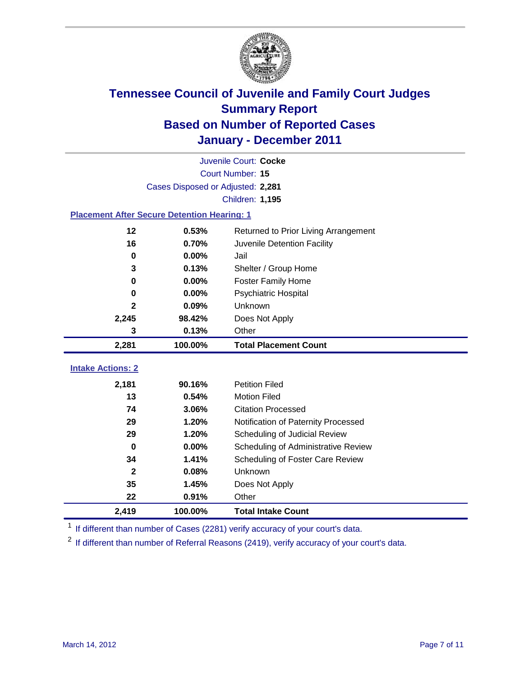

|                                                     | Juvenile Court: Cocke             |                                     |  |  |  |
|-----------------------------------------------------|-----------------------------------|-------------------------------------|--|--|--|
|                                                     | Court Number: 15                  |                                     |  |  |  |
|                                                     | Cases Disposed or Adjusted: 2,281 |                                     |  |  |  |
|                                                     |                                   | Children: 1,195                     |  |  |  |
| <b>Placement After Secure Detention Hearing: 1</b>  |                                   |                                     |  |  |  |
| 12<br>0.53%<br>Returned to Prior Living Arrangement |                                   |                                     |  |  |  |
| 16                                                  | 0.70%                             | Juvenile Detention Facility         |  |  |  |
| $\bf{0}$                                            | 0.00%                             | Jail                                |  |  |  |
| 3                                                   | 0.13%                             | Shelter / Group Home                |  |  |  |
| 0                                                   | 0.00%                             | <b>Foster Family Home</b>           |  |  |  |
| 0                                                   | 0.00%                             | Psychiatric Hospital                |  |  |  |
| 2                                                   | 0.09%                             | Unknown                             |  |  |  |
| 2,245                                               | 98.42%                            | Does Not Apply                      |  |  |  |
| 3                                                   | 0.13%                             | Other                               |  |  |  |
| 2,281                                               | 100.00%                           | <b>Total Placement Count</b>        |  |  |  |
| <b>Intake Actions: 2</b>                            |                                   |                                     |  |  |  |
|                                                     |                                   |                                     |  |  |  |
| 2,181                                               | 90.16%                            | <b>Petition Filed</b>               |  |  |  |
| 13                                                  | 0.54%                             | <b>Motion Filed</b>                 |  |  |  |
| 74                                                  | 3.06%                             | <b>Citation Processed</b>           |  |  |  |
| 29                                                  | 1.20%                             | Notification of Paternity Processed |  |  |  |
| 29                                                  | 1.20%                             | Scheduling of Judicial Review       |  |  |  |
| $\bf{0}$                                            | 0.00%                             | Scheduling of Administrative Review |  |  |  |
| 34                                                  | 1.41%                             | Scheduling of Foster Care Review    |  |  |  |
| $\mathbf{2}$                                        | 0.08%                             | Unknown                             |  |  |  |
| 35                                                  | 1.45%                             | Does Not Apply                      |  |  |  |
| 22                                                  | 0.91%                             | Other                               |  |  |  |
| 2,419                                               | 100.00%                           | <b>Total Intake Count</b>           |  |  |  |

<sup>1</sup> If different than number of Cases (2281) verify accuracy of your court's data.

<sup>2</sup> If different than number of Referral Reasons (2419), verify accuracy of your court's data.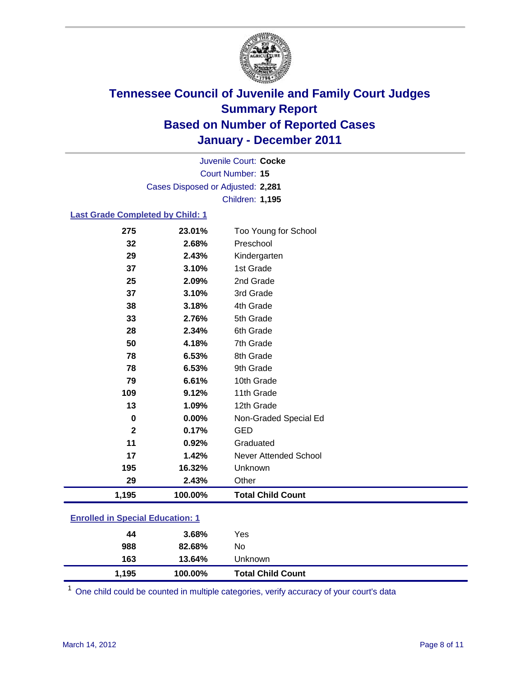

Court Number: **15** Juvenile Court: **Cocke** Cases Disposed or Adjusted: **2,281** Children: **1,195**

### **Last Grade Completed by Child: 1**

| 275          | 23.01%  | Too Young for School     |
|--------------|---------|--------------------------|
| 32           | 2.68%   | Preschool                |
| 29           | 2.43%   | Kindergarten             |
| 37           | 3.10%   | 1st Grade                |
| 25           | 2.09%   | 2nd Grade                |
| 37           | 3.10%   | 3rd Grade                |
| 38           | 3.18%   | 4th Grade                |
| 33           | 2.76%   | 5th Grade                |
| 28           | 2.34%   | 6th Grade                |
| 50           | 4.18%   | 7th Grade                |
| 78           | 6.53%   | 8th Grade                |
| 78           | 6.53%   | 9th Grade                |
| 79           | 6.61%   | 10th Grade               |
| 109          | 9.12%   | 11th Grade               |
| 13           | 1.09%   | 12th Grade               |
| 0            | 0.00%   | Non-Graded Special Ed    |
| $\mathbf{2}$ | 0.17%   | <b>GED</b>               |
| 11           | 0.92%   | Graduated                |
| 17           | 1.42%   | Never Attended School    |
| 195          | 16.32%  | Unknown                  |
| 29           | 2.43%   | Other                    |
| 1,195        | 100.00% | <b>Total Child Count</b> |

### **Enrolled in Special Education: 1**

| 44    | 3.68%   | Yes                      |
|-------|---------|--------------------------|
| 988   | 82.68%  | No                       |
| 163   | 13.64%  | Unknown                  |
| 1,195 | 100.00% | <b>Total Child Count</b> |

One child could be counted in multiple categories, verify accuracy of your court's data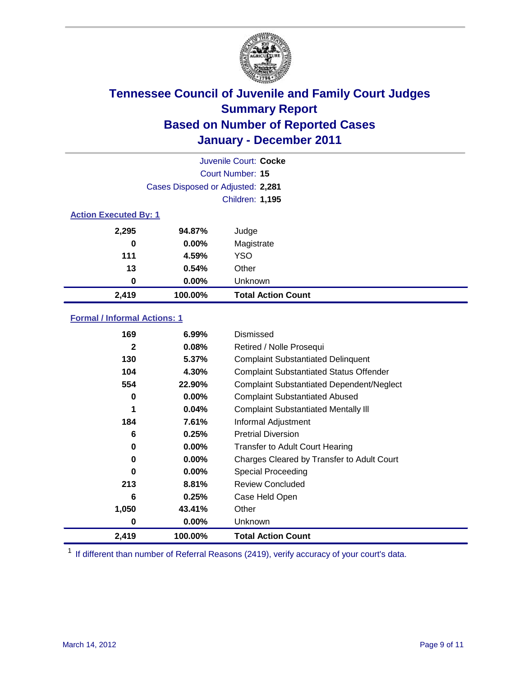

|                              | Juvenile Court: Cocke             |                           |  |  |  |
|------------------------------|-----------------------------------|---------------------------|--|--|--|
|                              | Court Number: 15                  |                           |  |  |  |
|                              | Cases Disposed or Adjusted: 2,281 |                           |  |  |  |
|                              | <b>Children: 1,195</b>            |                           |  |  |  |
| <b>Action Executed By: 1</b> |                                   |                           |  |  |  |
| 2,295                        | 94.87%                            | Judge                     |  |  |  |
| 0                            | 0.00%                             | Magistrate                |  |  |  |
| 111                          | 4.59%                             | <b>YSO</b>                |  |  |  |
| 13                           | 0.54%                             | Other                     |  |  |  |
| 0                            | 0.00%                             | Unknown                   |  |  |  |
| 2,419                        | 100.00%                           | <b>Total Action Count</b> |  |  |  |

### **Formal / Informal Actions: 1**

| 2,419        | 100.00%  | <b>Total Action Count</b>                        |
|--------------|----------|--------------------------------------------------|
| 0            | $0.00\%$ | <b>Unknown</b>                                   |
| 1,050        | 43.41%   | Other                                            |
| 6            | 0.25%    | Case Held Open                                   |
| 213          | 8.81%    | <b>Review Concluded</b>                          |
| 0            | $0.00\%$ | Special Proceeding                               |
| 0            | $0.00\%$ | Charges Cleared by Transfer to Adult Court       |
| 0            | $0.00\%$ | <b>Transfer to Adult Court Hearing</b>           |
| 6            | 0.25%    | <b>Pretrial Diversion</b>                        |
| 184          | 7.61%    | Informal Adjustment                              |
| 1            | 0.04%    | <b>Complaint Substantiated Mentally III</b>      |
| 0            | $0.00\%$ | <b>Complaint Substantiated Abused</b>            |
| 554          | 22.90%   | <b>Complaint Substantiated Dependent/Neglect</b> |
| 104          | 4.30%    | <b>Complaint Substantiated Status Offender</b>   |
| 130          | 5.37%    | <b>Complaint Substantiated Delinquent</b>        |
| $\mathbf{2}$ | 0.08%    | Retired / Nolle Prosequi                         |
| 169          | $6.99\%$ | Dismissed                                        |

<sup>1</sup> If different than number of Referral Reasons (2419), verify accuracy of your court's data.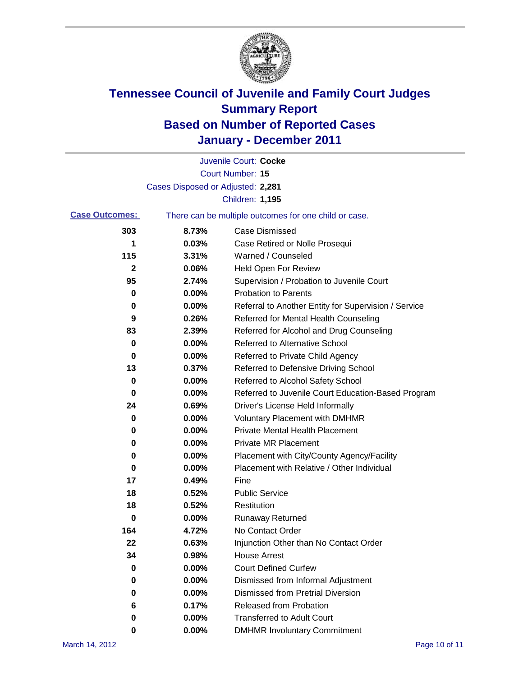

|                       |                                   | Juvenile Court: Cocke                                 |
|-----------------------|-----------------------------------|-------------------------------------------------------|
|                       |                                   | <b>Court Number: 15</b>                               |
|                       | Cases Disposed or Adjusted: 2,281 |                                                       |
|                       |                                   | Children: 1,195                                       |
| <b>Case Outcomes:</b> |                                   | There can be multiple outcomes for one child or case. |
| 303                   | 8.73%                             | <b>Case Dismissed</b>                                 |
| 1                     | 0.03%                             | Case Retired or Nolle Prosequi                        |
| 115                   | 3.31%                             | Warned / Counseled                                    |
| 2                     | 0.06%                             | <b>Held Open For Review</b>                           |
| 95                    | 2.74%                             | Supervision / Probation to Juvenile Court             |
| 0                     | 0.00%                             | <b>Probation to Parents</b>                           |
| 0                     | 0.00%                             | Referral to Another Entity for Supervision / Service  |
| 9                     | 0.26%                             | Referred for Mental Health Counseling                 |
| 83                    | 2.39%                             | Referred for Alcohol and Drug Counseling              |
| 0                     | 0.00%                             | <b>Referred to Alternative School</b>                 |
| 0                     | 0.00%                             | Referred to Private Child Agency                      |
| 13                    | 0.37%                             | Referred to Defensive Driving School                  |
| 0                     | 0.00%                             | Referred to Alcohol Safety School                     |
| 0                     | 0.00%                             | Referred to Juvenile Court Education-Based Program    |
| 24                    | 0.69%                             | Driver's License Held Informally                      |
| 0                     | 0.00%                             | <b>Voluntary Placement with DMHMR</b>                 |
| 0                     | 0.00%                             | <b>Private Mental Health Placement</b>                |
| 0                     | 0.00%                             | <b>Private MR Placement</b>                           |
| 0                     | 0.00%                             | Placement with City/County Agency/Facility            |
| 0                     | 0.00%                             | Placement with Relative / Other Individual            |
| 17                    | 0.49%                             | Fine                                                  |
| 18                    | 0.52%                             | <b>Public Service</b>                                 |
| 18                    | 0.52%                             | Restitution                                           |
| 0                     | 0.00%                             | <b>Runaway Returned</b>                               |
| 164                   | 4.72%                             | No Contact Order                                      |
| 22                    | 0.63%                             | Injunction Other than No Contact Order                |
| 34                    | 0.98%                             | <b>House Arrest</b>                                   |
| 0                     | 0.00%                             | <b>Court Defined Curfew</b>                           |
| 0                     | 0.00%                             | Dismissed from Informal Adjustment                    |
| 0                     | 0.00%                             | <b>Dismissed from Pretrial Diversion</b>              |
| 6                     | 0.17%                             | Released from Probation                               |
| 0                     | 0.00%                             | <b>Transferred to Adult Court</b>                     |
| 0                     | 0.00%                             | <b>DMHMR Involuntary Commitment</b>                   |